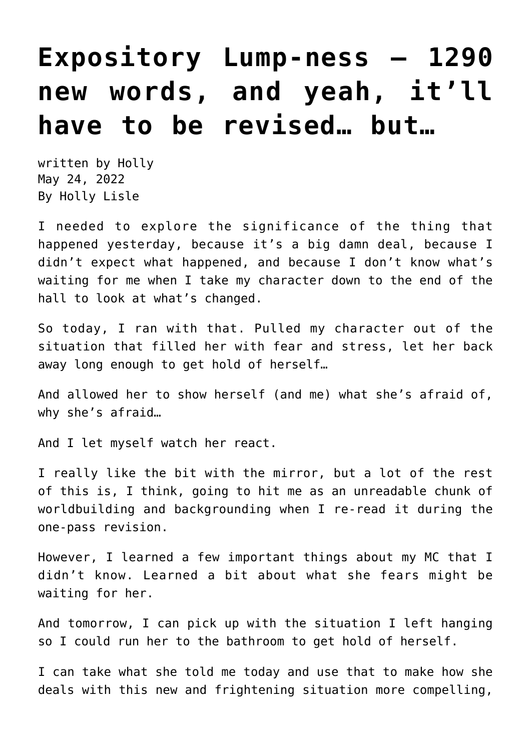## **[Expository Lump-ness — 1290](https://hollylisle.com/expository-lump-ness-1290-new-words-and-yeah-itll-have-to-be-revised-but/) [new words, and yeah, it'll](https://hollylisle.com/expository-lump-ness-1290-new-words-and-yeah-itll-have-to-be-revised-but/) [have to be revised… but…](https://hollylisle.com/expository-lump-ness-1290-new-words-and-yeah-itll-have-to-be-revised-but/)**

written by Holly May 24, 2022 [By Holly Lisle](https://hollylisle.com)

I needed to explore the significance of the thing that happened yesterday, because it's a big damn deal, because I didn't expect what happened, and because I don't know what's waiting for me when I take my character down to the end of the hall to look at what's changed.

So today, I ran with that. Pulled my character out of the situation that filled her with fear and stress, let her back away long enough to get hold of herself…

And allowed her to show herself (and me) what she's afraid of, why she's afraid…

And I let myself watch her react.

I really like the bit with the mirror, but a lot of the rest of this is, I think, going to hit me as an unreadable chunk of worldbuilding and backgrounding when I re-read it during the one-pass revision.

However, I learned a few important things about my MC that I didn't know. Learned a bit about what she fears might be waiting for her.

And tomorrow, I can pick up with the situation I left hanging so I could run her to the bathroom to get hold of herself.

I can take what she told me today and use that to make how she deals with this new and frightening situation more compelling,